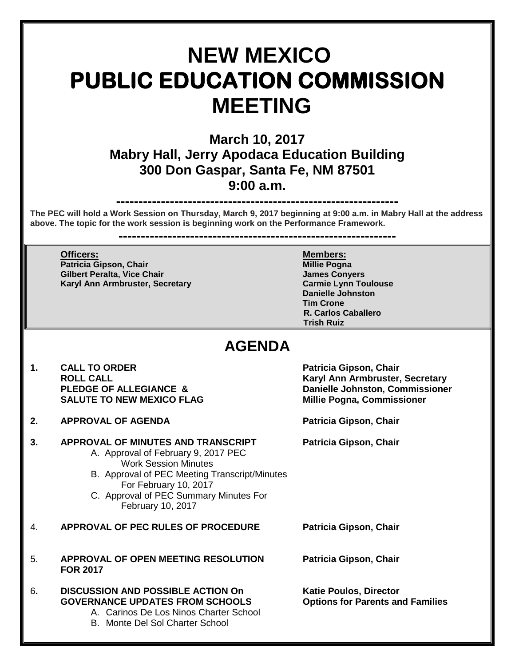# **NEW MEXICO PUBLIC EDUCATION COMMISSION MEETING**

**March 10, 2017 Mabry Hall, Jerry Apodaca Education Building 300 Don Gaspar, Santa Fe, NM 87501 9:00 a.m.**

**---------------------------------------------------------------**

**The PEC will hold a Work Session on Thursday, March 9, 2017 beginning at 9:00 a.m. in Mabry Hall at the address above. The topic for the work session is beginning work on the Performance Framework.**

**--------------------------------------------------------------**

**Officers: Members: Patricia Gipson, Chair Millie Pogna Gilbert Peralta, Vice Chair Karyl Ann Armbruster, Secretary Carmie Lynn Toulouse**

**Danielle Johnston Tim Crone R. Carlos Caballero Trish Ruiz**

## **AGENDA**

- 1. CALL TO ORDER **Patricia Gipson, Chair**<br>ROLL CALL **ROUL SALUTE TO NEW MEXICO FLAG**
- **2. APPROVAL OF AGENDA Patricia Gipson, Chair**

### **3. APPROVAL OF MINUTES AND TRANSCRIPT Patricia Gipson, Chair**

- A. Approval of February 9, 2017 PEC Work Session Minutes
- B. Approval of PEC Meeting Transcript/Minutes For February 10, 2017
- C. Approval of PEC Summary Minutes For February 10, 2017
- 4. **APPROVAL OF PEC RULES OF PROCEDURE Patricia Gipson, Chair**
- 5. **APPROVAL OF OPEN MEETING RESOLUTION Patricia Gipson, Chair FOR 2017**
- 6**. DISCUSSION AND POSSIBLE ACTION On Katie Poulos, Director GOVERNANCE UPDATES FROM SCHOOLS** A. Carinos De Los Ninos Charter School
	- B. Monte Del Sol Charter School

**Karyl Ann Armbruster, Secretary** PLEDGE OF ALLEGIANCE & **Danielle Johnston, Commissioner**<br>
SALUTE TO NEW MEXICO FLAG Millie Pogna, Commissioner